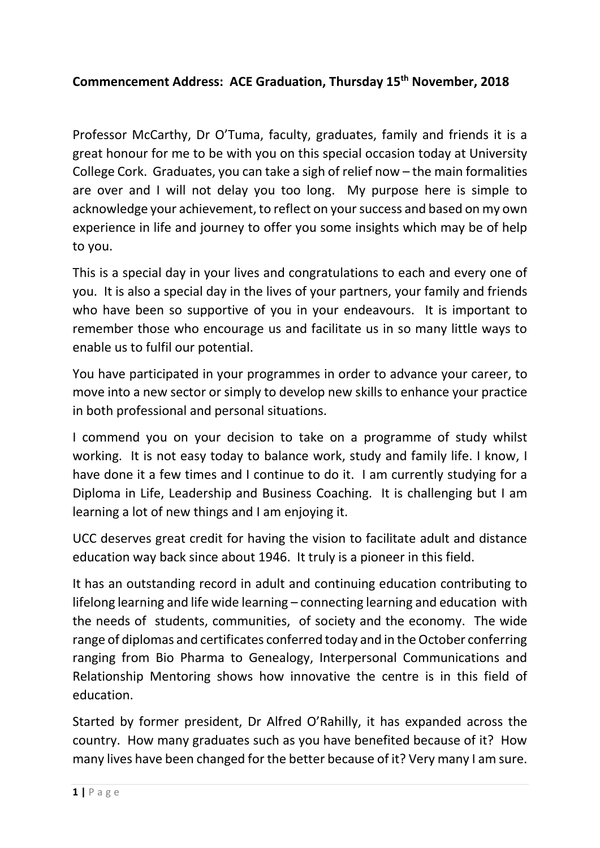#### **Commencement Address: ACE Graduation, Thursday 15th November, 2018**

Professor McCarthy, Dr O'Tuma, faculty, graduates, family and friends it is a great honour for me to be with you on this special occasion today at University College Cork. Graduates, you can take a sigh of relief now – the main formalities are over and I will not delay you too long. My purpose here is simple to acknowledge your achievement, to reflect on your success and based on my own experience in life and journey to offer you some insights which may be of help to you.

This is a special day in your lives and congratulations to each and every one of you. It is also a special day in the lives of your partners, your family and friends who have been so supportive of you in your endeavours. It is important to remember those who encourage us and facilitate us in so many little ways to enable us to fulfil our potential.

You have participated in your programmes in order to advance your career, to move into a new sector or simply to develop new skills to enhance your practice in both professional and personal situations.

I commend you on your decision to take on a programme of study whilst working. It is not easy today to balance work, study and family life. I know, I have done it a few times and I continue to do it. I am currently studying for a Diploma in Life, Leadership and Business Coaching. It is challenging but I am learning a lot of new things and I am enjoying it.

UCC deserves great credit for having the vision to facilitate adult and distance education way back since about 1946. It truly is a pioneer in this field.

It has an outstanding record in adult and continuing education contributing to lifelong learning and life wide learning – connecting learning and education with the needs of students, communities, of society and the economy. The wide range of diplomas and certificates conferred today and in the October conferring ranging from Bio Pharma to Genealogy, Interpersonal Communications and Relationship Mentoring shows how innovative the centre is in this field of education.

Started by former president, Dr Alfred O'Rahilly, it has expanded across the country. How many graduates such as you have benefited because of it? How many lives have been changed for the better because of it? Very many I am sure.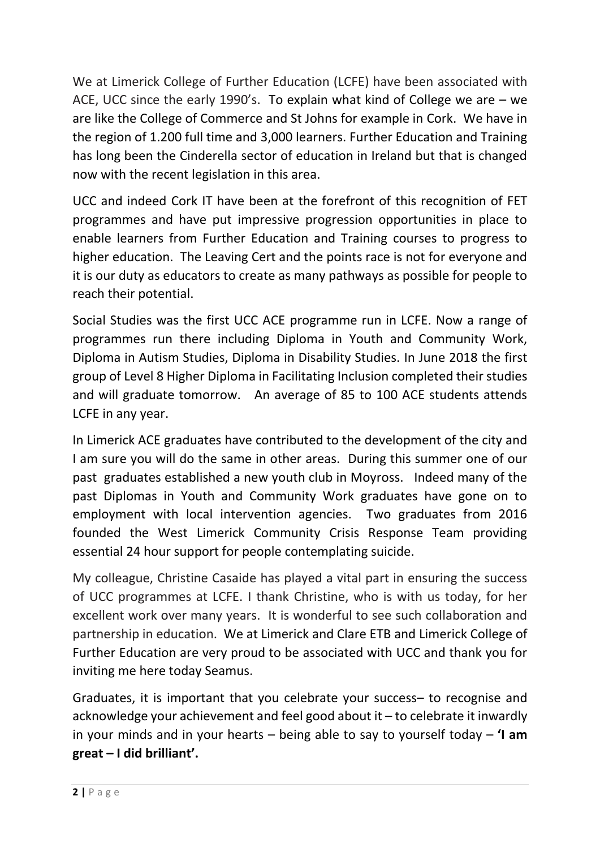We at Limerick College of Further Education (LCFE) have been associated with ACE, UCC since the early 1990's. To explain what kind of College we are – we are like the College of Commerce and St Johns for example in Cork. We have in the region of 1.200 full time and 3,000 learners. Further Education and Training has long been the Cinderella sector of education in Ireland but that is changed now with the recent legislation in this area.

UCC and indeed Cork IT have been at the forefront of this recognition of FET programmes and have put impressive progression opportunities in place to enable learners from Further Education and Training courses to progress to higher education. The Leaving Cert and the points race is not for everyone and it is our duty as educators to create as many pathways as possible for people to reach their potential.

Social Studies was the first UCC ACE programme run in LCFE. Now a range of programmes run there including Diploma in Youth and Community Work, Diploma in Autism Studies, Diploma in Disability Studies. In June 2018 the first group of Level 8 Higher Diploma in Facilitating Inclusion completed their studies and will graduate tomorrow. An average of 85 to 100 ACE students attends LCFE in any year.

In Limerick ACE graduates have contributed to the development of the city and I am sure you will do the same in other areas. During this summer one of our past graduates established a new youth club in Moyross. Indeed many of the past Diplomas in Youth and Community Work graduates have gone on to employment with local intervention agencies. Two graduates from 2016 founded the West Limerick Community Crisis Response Team providing essential 24 hour support for people contemplating suicide.

My colleague, Christine Casaide has played a vital part in ensuring the success of UCC programmes at LCFE. I thank Christine, who is with us today, for her excellent work over many years. It is wonderful to see such collaboration and partnership in education. We at Limerick and Clare ETB and Limerick College of Further Education are very proud to be associated with UCC and thank you for inviting me here today Seamus.

Graduates, it is important that you celebrate your success– to recognise and acknowledge your achievement and feel good about it – to celebrate it inwardly in your minds and in your hearts – being able to say to yourself today – **'I am great – I did brilliant'.**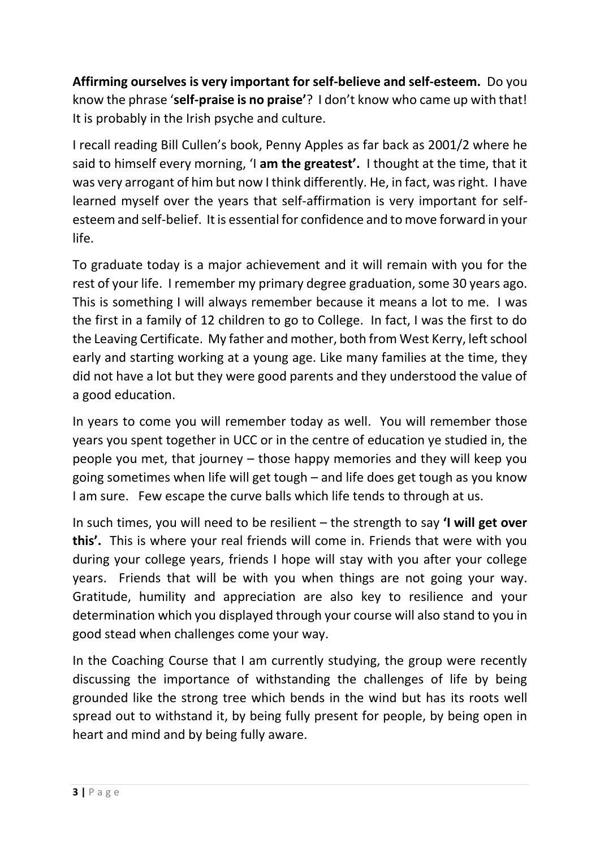**Affirming ourselves is very important for self-believe and self-esteem.** Do you know the phrase '**self-praise is no praise'**? I don't know who came up with that! It is probably in the Irish psyche and culture.

I recall reading Bill Cullen's book, Penny Apples as far back as 2001/2 where he said to himself every morning, 'I **am the greatest'.** I thought at the time, that it was very arrogant of him but now I think differently. He, in fact, was right. I have learned myself over the years that self-affirmation is very important for selfesteem and self-belief. It is essential for confidence and to move forward in your life.

To graduate today is a major achievement and it will remain with you for the rest of your life. I remember my primary degree graduation, some 30 years ago. This is something I will always remember because it means a lot to me. I was the first in a family of 12 children to go to College. In fact, I was the first to do the Leaving Certificate. My father and mother, both from West Kerry, left school early and starting working at a young age. Like many families at the time, they did not have a lot but they were good parents and they understood the value of a good education.

In years to come you will remember today as well. You will remember those years you spent together in UCC or in the centre of education ye studied in, the people you met, that journey – those happy memories and they will keep you going sometimes when life will get tough – and life does get tough as you know I am sure. Few escape the curve balls which life tends to through at us.

In such times, you will need to be resilient – the strength to say **'I will get over this'.** This is where your real friends will come in. Friends that were with you during your college years, friends I hope will stay with you after your college years. Friends that will be with you when things are not going your way. Gratitude, humility and appreciation are also key to resilience and your determination which you displayed through your course will also stand to you in good stead when challenges come your way.

In the Coaching Course that I am currently studying, the group were recently discussing the importance of withstanding the challenges of life by being grounded like the strong tree which bends in the wind but has its roots well spread out to withstand it, by being fully present for people, by being open in heart and mind and by being fully aware.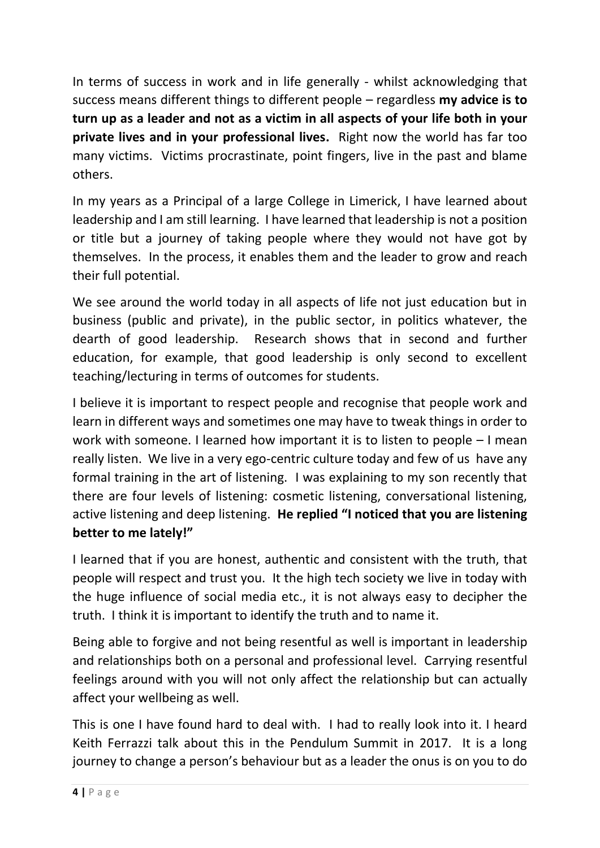In terms of success in work and in life generally - whilst acknowledging that success means different things to different people – regardless **my advice is to turn up as a leader and not as a victim in all aspects of your life both in your private lives and in your professional lives.** Right now the world has far too many victims. Victims procrastinate, point fingers, live in the past and blame others.

In my years as a Principal of a large College in Limerick, I have learned about leadership and I am still learning. I have learned that leadership is not a position or title but a journey of taking people where they would not have got by themselves. In the process, it enables them and the leader to grow and reach their full potential.

We see around the world today in all aspects of life not just education but in business (public and private), in the public sector, in politics whatever, the dearth of good leadership. Research shows that in second and further education, for example, that good leadership is only second to excellent teaching/lecturing in terms of outcomes for students.

I believe it is important to respect people and recognise that people work and learn in different ways and sometimes one may have to tweak things in order to work with someone. I learned how important it is to listen to people – I mean really listen. We live in a very ego-centric culture today and few of us have any formal training in the art of listening. I was explaining to my son recently that there are four levels of listening: cosmetic listening, conversational listening, active listening and deep listening. **He replied "I noticed that you are listening better to me lately!"**

I learned that if you are honest, authentic and consistent with the truth, that people will respect and trust you. It the high tech society we live in today with the huge influence of social media etc., it is not always easy to decipher the truth. I think it is important to identify the truth and to name it.

Being able to forgive and not being resentful as well is important in leadership and relationships both on a personal and professional level. Carrying resentful feelings around with you will not only affect the relationship but can actually affect your wellbeing as well.

This is one I have found hard to deal with. I had to really look into it. I heard Keith Ferrazzi talk about this in the Pendulum Summit in 2017. It is a long journey to change a person's behaviour but as a leader the onus is on you to do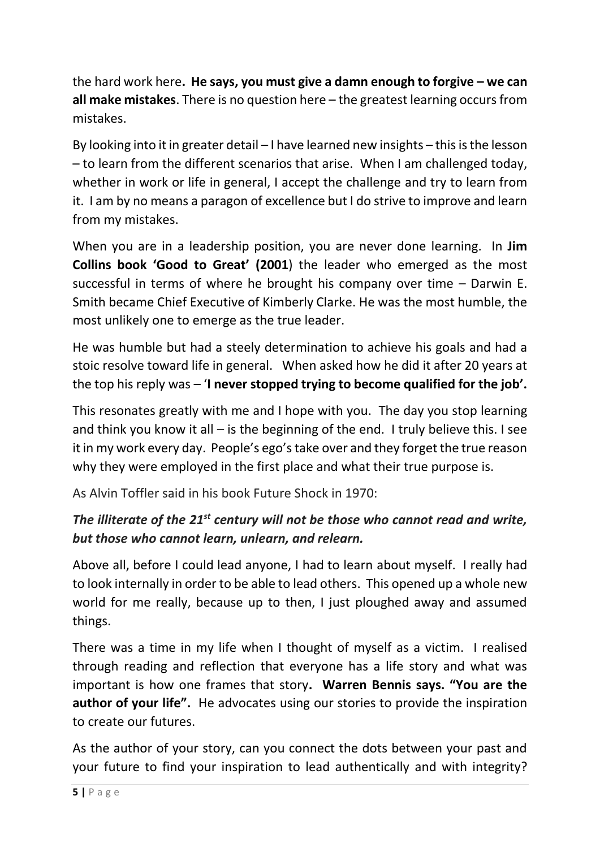the hard work here**. He says, you must give a damn enough to forgive – we can all make mistakes**. There is no question here – the greatest learning occurs from mistakes.

By looking into it in greater detail – I have learned new insights – this is the lesson – to learn from the different scenarios that arise. When I am challenged today, whether in work or life in general, I accept the challenge and try to learn from it. I am by no means a paragon of excellence but I do strive to improve and learn from my mistakes.

When you are in a leadership position, you are never done learning. In **Jim Collins book 'Good to Great' (2001**) the leader who emerged as the most successful in terms of where he brought his company over time – Darwin E. Smith became Chief Executive of Kimberly Clarke. He was the most humble, the most unlikely one to emerge as the true leader.

He was humble but had a steely determination to achieve his goals and had a stoic resolve toward life in general. When asked how he did it after 20 years at the top his reply was – '**I never stopped trying to become qualified for the job'.**

This resonates greatly with me and I hope with you. The day you stop learning and think you know it all – is the beginning of the end. I truly believe this. I see it in my work every day. People's ego's take over and they forget the true reason why they were employed in the first place and what their true purpose is.

As Alvin Toffler said in his book Future Shock in 1970:

# *The illiterate of the 21st century will not be those who cannot read and write, but those who cannot learn, unlearn, and relearn.*

Above all, before I could lead anyone, I had to learn about myself. I really had to look internally in order to be able to lead others. This opened up a whole new world for me really, because up to then, I just ploughed away and assumed things.

There was a time in my life when I thought of myself as a victim. I realised through reading and reflection that everyone has a life story and what was important is how one frames that story**. Warren Bennis says. "You are the author of your life".** He advocates using our stories to provide the inspiration to create our futures.

As the author of your story, can you connect the dots between your past and your future to find your inspiration to lead authentically and with integrity?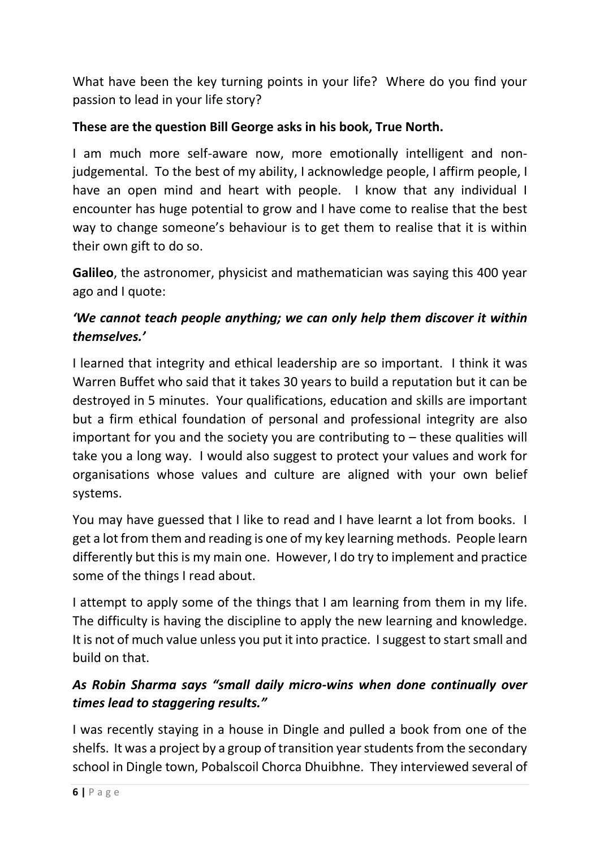What have been the key turning points in your life? Where do you find your passion to lead in your life story?

#### **These are the question Bill George asks in his book, True North.**

I am much more self-aware now, more emotionally intelligent and nonjudgemental. To the best of my ability, I acknowledge people, I affirm people, I have an open mind and heart with people. I know that any individual I encounter has huge potential to grow and I have come to realise that the best way to change someone's behaviour is to get them to realise that it is within their own gift to do so.

**Galileo**, the astronomer, physicist and mathematician was saying this 400 year ago and I quote:

# *'We cannot teach people anything; we can only help them discover it within themselves.'*

I learned that integrity and ethical leadership are so important. I think it was Warren Buffet who said that it takes 30 years to build a reputation but it can be destroyed in 5 minutes. Your qualifications, education and skills are important but a firm ethical foundation of personal and professional integrity are also important for you and the society you are contributing to – these qualities will take you a long way. I would also suggest to protect your values and work for organisations whose values and culture are aligned with your own belief systems.

You may have guessed that I like to read and I have learnt a lot from books. I get a lot from them and reading is one of my key learning methods. People learn differently but this is my main one. However, I do try to implement and practice some of the things I read about.

I attempt to apply some of the things that I am learning from them in my life. The difficulty is having the discipline to apply the new learning and knowledge. It is not of much value unless you put it into practice. I suggest to start small and build on that.

# *As Robin Sharma says "small daily micro-wins when done continually over times lead to staggering results."*

I was recently staying in a house in Dingle and pulled a book from one of the shelfs. It was a project by a group of transition year students from the secondary school in Dingle town, Pobalscoil Chorca Dhuibhne. They interviewed several of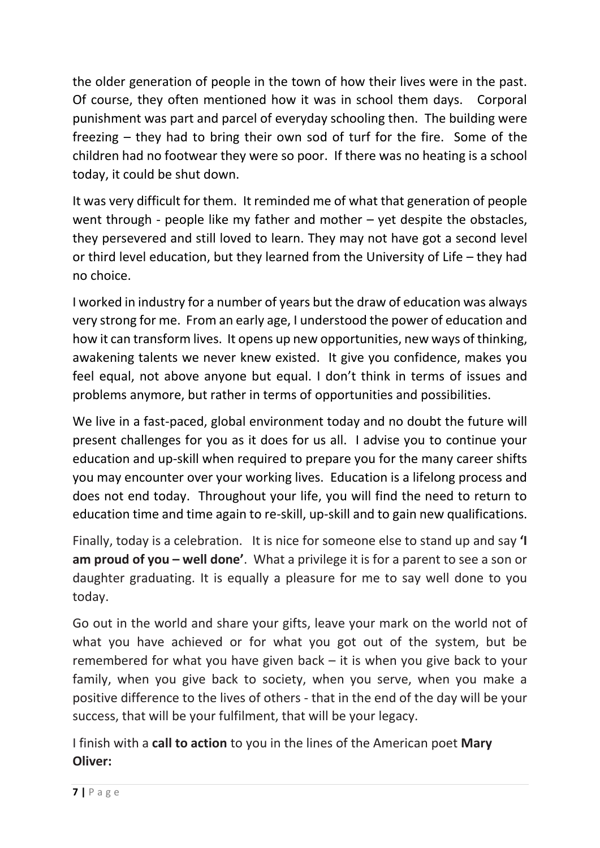the older generation of people in the town of how their lives were in the past. Of course, they often mentioned how it was in school them days. Corporal punishment was part and parcel of everyday schooling then. The building were freezing – they had to bring their own sod of turf for the fire. Some of the children had no footwear they were so poor. If there was no heating is a school today, it could be shut down.

It was very difficult for them. It reminded me of what that generation of people went through - people like my father and mother – yet despite the obstacles, they persevered and still loved to learn. They may not have got a second level or third level education, but they learned from the University of Life – they had no choice.

I worked in industry for a number of years but the draw of education was always very strong for me. From an early age, I understood the power of education and how it can transform lives. It opens up new opportunities, new ways of thinking, awakening talents we never knew existed. It give you confidence, makes you feel equal, not above anyone but equal. I don't think in terms of issues and problems anymore, but rather in terms of opportunities and possibilities.

We live in a fast-paced, global environment today and no doubt the future will present challenges for you as it does for us all. I advise you to continue your education and up-skill when required to prepare you for the many career shifts you may encounter over your working lives. Education is a lifelong process and does not end today. Throughout your life, you will find the need to return to education time and time again to re-skill, up-skill and to gain new qualifications.

Finally, today is a celebration. It is nice for someone else to stand up and say **'I am proud of you – well done'**. What a privilege it is for a parent to see a son or daughter graduating. It is equally a pleasure for me to say well done to you today.

Go out in the world and share your gifts, leave your mark on the world not of what you have achieved or for what you got out of the system, but be remembered for what you have given back – it is when you give back to your family, when you give back to society, when you serve, when you make a positive difference to the lives of others - that in the end of the day will be your success, that will be your fulfilment, that will be your legacy.

I finish with a **call to action** to you in the lines of the American poet **Mary Oliver:**